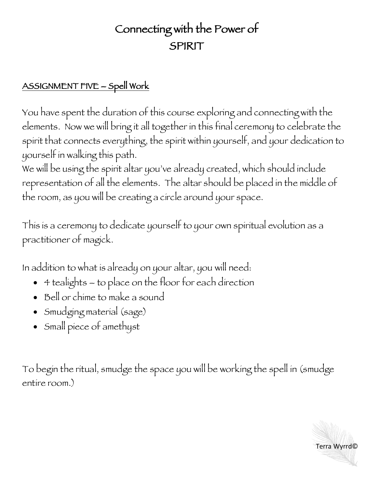## Connecting with the Power of SPIRIT

## ASSIGNMENT FIVE – Spell Work

You have spent the duration of this course exploring and connecting with the elements. Now we will bring it all together in this final ceremony to celebrate the spirit that connects everything, the spirit within yourself, and your dedication to yourself in walking this path.

We will be using the spirit altar you've already created, which should include representation of all the elements. The altar should be placed in the middle of the room, as you will be creating a circle around your space.

This is a ceremony to dedicate yourself to your own spiritual evolution as a practitioner of magick.

In addition to what is already on your altar, you will need:

- 4 tealights to place on the floor for each direction
- Bell or chime to make a sound
- Smudging material (sage)
- Small piece of amethyst

To begin the ritual, smudge the space you will be working the spell in (smudge entire room.)

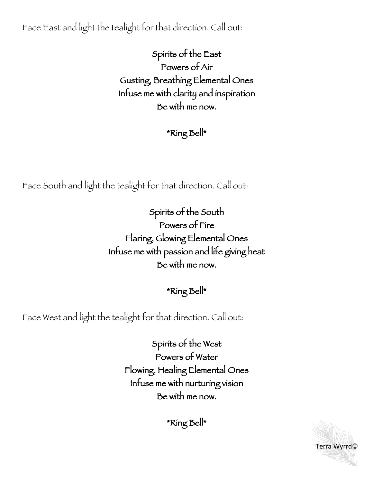Face East and light the tealight for that direction. Call out:

Spirits of the East Powers of Air Gusting, Breathing Elemental Ones Infuse me with clarity and inspiration Be with me now.

\*Ring Bell\*

Face South and light the tealight for that direction. Call out:

Spirits of the South Powers of Fire Flaring, Glowing Elemental Ones Infuse me with passion and life giving heat Be with me now.

\*Ring Bell\*

Face West and light the tealight for that direction. Call out:

Spirits of the West Powers of Water Flowing, Healing Elemental Ones Infuse me with nurturing vision Be with me now.

Terra Wyrrd©

\*Ring Bell\*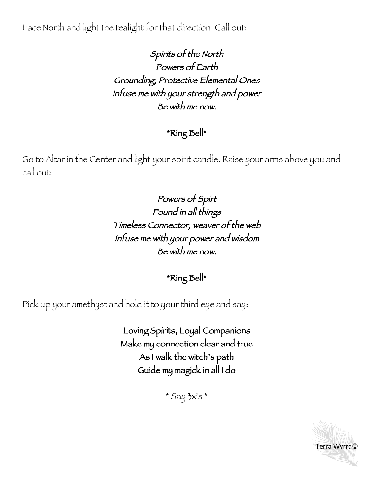Face North and light the tealight for that direction. Call out:

Spirits of the North Powers of Earth Grounding, Protective Elemental Ones Infuse me with your strength and power Be with me now.

## \*Ring Bell\*

Go to Altar in the Center and light your spirit candle. Raise your arms above you and call out:

> Powers of Spirt Found in all things Timeless Connector, weaver of the web Infuse me with your power and wisdom Be with me now.

> > \*Ring Bell\*

Pick up your amethyst and hold it to your third eye and say:

Loving Spirits, Loyal Companions Make my connection clear and true As I walk the witch's path Guide my magick in all I do

 $*$  Say  $5x's*$ 

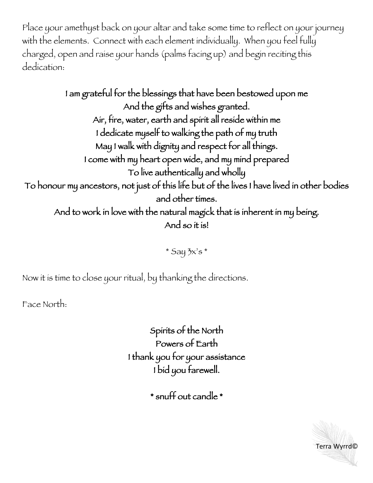Place your amethyst back on your altar and take some time to reflect on your journey with the elements. Connect with each element individually. When you feel fully charged, open and raise your hands (palms facing up) and begin reciting this dedication:

I am grateful for the blessings that have been bestowed upon me And the gifts and wishes granted. Air, fire, water, earth and spirit all reside within me I dedicate myself to walking the path of my truth May I walk with dignity and respect for all things. I come with my heart open wide, and my mind prepared To live authentically and wholly To honour my ancestors, not just of this life but of the lives I have lived in other bodies and other times. And to work in love with the natural magick that is inherent in my being. And so it is!

 $*$  Say  $5x's*$ 

Now it is time to close your ritual, by thanking the directions.

Face North:

Spirits of the North Powers of Earth I thank you for your assistance I bid you farewell.

\* snuff out candle \*